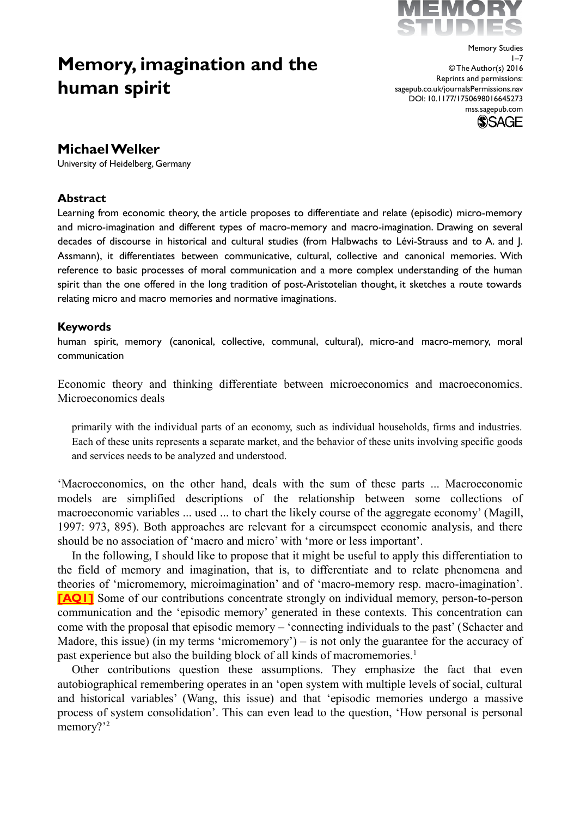

# **Memory, imagination and the human spirit**

Memory Studies  $1 - 7$ © The Author(s) 2016 Reprints and permissions: sagepub.co.uk/journalsPermissions.nav DOI: 10.1177/1750698016645273 mss.sagepub.com



## **Michael Welker**

University of Heidelberg, Germany

### **Abstract**

Learning from economic theory, the article proposes to differentiate and relate (episodic) micro-memory and micro-imagination and different types of macro-memory and macro-imagination. Drawing on several decades of discourse in historical and cultural studies (from Halbwachs to Lévi-Strauss and to A. and J. Assmann), it differentiates between communicative, cultural, collective and canonical memories. With reference to basic processes of moral communication and a more complex understanding of the human spirit than the one offered in the long tradition of post-Aristotelian thought, it sketches a route towards relating micro and macro memories and normative imaginations.

### **Keywords**

human spirit, memory (canonical, collective, communal, cultural), micro-and macro-memory, moral communication

Economic theory and thinking differentiate between microeconomics and macroeconomics. Microeconomics deals

primarily with the individual parts of an economy, such as individual households, firms and industries. Each of these units represents a separate market, and the behavior of these units involving specific goods and services needs to be analyzed and understood.

'Macroeconomics, on the other hand, deals with the sum of these parts ... Macroeconomic models are simplified descriptions of the relationship between some collections of macroeconomic variables ... used ... to chart the likely course of the aggregate economy' (Magill, 1997: 973, 895). Both approaches are relevant for a circumspect economic analysis, and there should be no association of 'macro and micro' with 'more or less important'.

<span id="page-0-0"></span>In the following, I should like to propose that it might be useful to apply this differentiation to the field of memory and imagination, that is, to differentiate and to relate phenomena and theories of 'micromemory, microimagination' and of 'macro-memory resp. macro-imagination'. **[\[AQ1\]](#page-0-0)** Some of our contributions concentrate strongly on individual memory, person-to-person communication and the 'episodic memory' generated in these contexts. This concentration can come with the proposal that episodic memory – 'connecting individuals to the past' (Schacter and Madore, this issue) (in my terms 'micromemory') – is not only the guarantee for the accuracy of past experience but also the building block of all kinds of macromemories.<sup>1</sup>

Other contributions question these assumptions. They emphasize the fact that even autobiographical remembering operates in an 'open system with multiple levels of social, cultural and historical variables' (Wang, this issue) and that 'episodic memories undergo a massive process of system consolidation'. This can even lead to the question, 'How personal is personal memory?<sup>2</sup>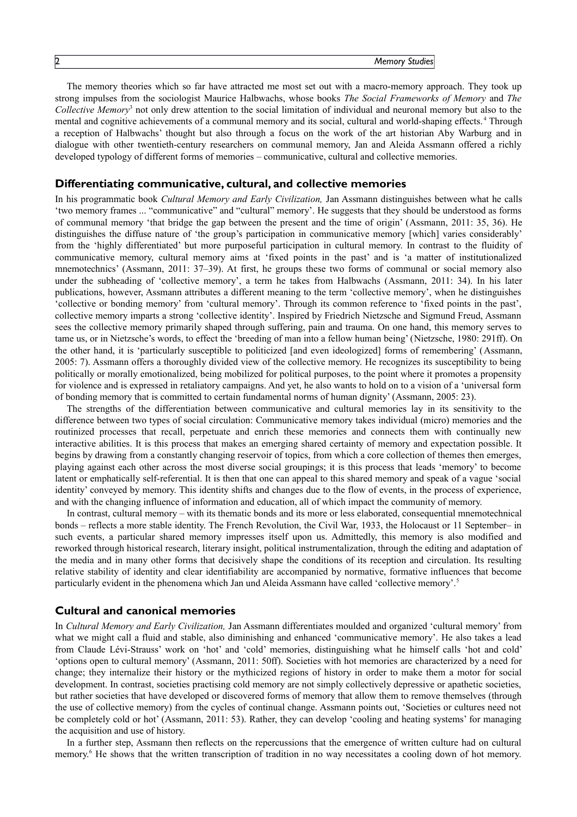The memory theories which so far have attracted me most set out with a macro-memory approach. They took up strong impulses from the sociologist Maurice Halbwachs, whose books *The Social Frameworks of Memory* and *The* Collective Memory<sup>3</sup> not only drew attention to the social limitation of individual and neuronal memory but also to the mental and cognitive achievements of a communal memory and its social, cultural and world-shaping effects.<sup>4</sup> Through a reception of Halbwachs' thought but also through a focus on the work of the art historian Aby Warburg and in dialogue with other twentieth-century researchers on communal memory, Jan and Aleida Assmann offered a richly developed typology of different forms of memories – communicative, cultural and collective memories.

## **Differentiating communicative, cultural, and collective memories**

In his programmatic book *Cultural Memory and Early Civilization,* Jan Assmann distinguishes between what he calls 'two memory frames ... "communicative" and "cultural" memory'. He suggests that they should be understood as forms of communal memory 'that bridge the gap between the present and the time of origin' (Assmann, 2011: 35, 36). He distinguishes the diffuse nature of 'the group's participation in communicative memory [which] varies considerably' from the 'highly differentiated' but more purposeful participation in cultural memory. In contrast to the fluidity of communicative memory, cultural memory aims at 'fixed points in the past' and is 'a matter of institutionalized mnemotechnics' (Assmann, 2011: 37–39). At first, he groups these two forms of communal or social memory also under the subheading of 'collective memory', a term he takes from Halbwachs (Assmann, 2011: 34). In his later publications, however, Assmann attributes a different meaning to the term 'collective memory', when he distinguishes 'collective or bonding memory' from 'cultural memory'. Through its common reference to 'fixed points in the past', collective memory imparts a strong 'collective identity'. Inspired by Friedrich Nietzsche and Sigmund Freud, Assmann sees the collective memory primarily shaped through suffering, pain and trauma. On one hand, this memory serves to tame us, or in Nietzsche's words, to effect the 'breeding of man into a fellow human being' (Nietzsche, 1980: 291ff). On the other hand, it is 'particularly susceptible to politicized [and even ideologized] forms of remembering' (Assmann, 2005: 7). Assmann offers a thoroughly divided view of the collective memory. He recognizes its susceptibility to being politically or morally emotionalized, being mobilized for political purposes, to the point where it promotes a propensity for violence and is expressed in retaliatory campaigns. And yet, he also wants to hold on to a vision of a 'universal form of bonding memory that is committed to certain fundamental norms of human dignity' (Assmann, 2005: 23).

The strengths of the differentiation between communicative and cultural memories lay in its sensitivity to the difference between two types of social circulation: Communicative memory takes individual (micro) memories and the routinized processes that recall, perpetuate and enrich these memories and connects them with continually new interactive abilities. It is this process that makes an emerging shared certainty of memory and expectation possible. It begins by drawing from a constantly changing reservoir of topics, from which a core collection of themes then emerges, playing against each other across the most diverse social groupings; it is this process that leads 'memory' to become latent or emphatically self-referential. It is then that one can appeal to this shared memory and speak of a vague 'social identity' conveyed by memory. This identity shifts and changes due to the flow of events, in the process of experience, and with the changing influence of information and education, all of which impact the community of memory.

In contrast, cultural memory – with its thematic bonds and its more or less elaborated, consequential mnemotechnical bonds – reflects a more stable identity. The French Revolution, the Civil War, 1933, the Holocaust or 11 September– in such events, a particular shared memory impresses itself upon us. Admittedly, this memory is also modified and reworked through historical research, literary insight, political instrumentalization, through the editing and adaptation of the media and in many other forms that decisively shape the conditions of its reception and circulation. Its resulting relative stability of identity and clear identifiability are accompanied by normative, formative influences that become particularly evident in the phenomena which Jan und Aleida Assmann have called 'collective memory'.<sup>5</sup>

## **Cultural and canonical memories**

In *Cultural Memory and Early Civilization,* Jan Assmann differentiates moulded and organized 'cultural memory' from what we might call a fluid and stable, also diminishing and enhanced 'communicative memory'. He also takes a lead from Claude Lévi-Strauss' work on 'hot' and 'cold' memories, distinguishing what he himself calls 'hot and cold' 'options open to cultural memory' (Assmann, 2011: 50ff). Societies with hot memories are characterized by a need for change; they internalize their history or the mythicized regions of history in order to make them a motor for social development. In contrast, societies practising cold memory are not simply collectively depressive or apathetic societies, but rather societies that have developed or discovered forms of memory that allow them to remove themselves (through the use of collective memory) from the cycles of continual change. Assmann points out, 'Societies or cultures need not be completely cold or hot' (Assmann, 2011: 53). Rather, they can develop 'cooling and heating systems' for managing the acquisition and use of history.

In a further step, Assmann then reflects on the repercussions that the emergence of written culture had on cultural memory.<sup>6</sup> He shows that the written transcription of tradition in no way necessitates a cooling down of hot memory.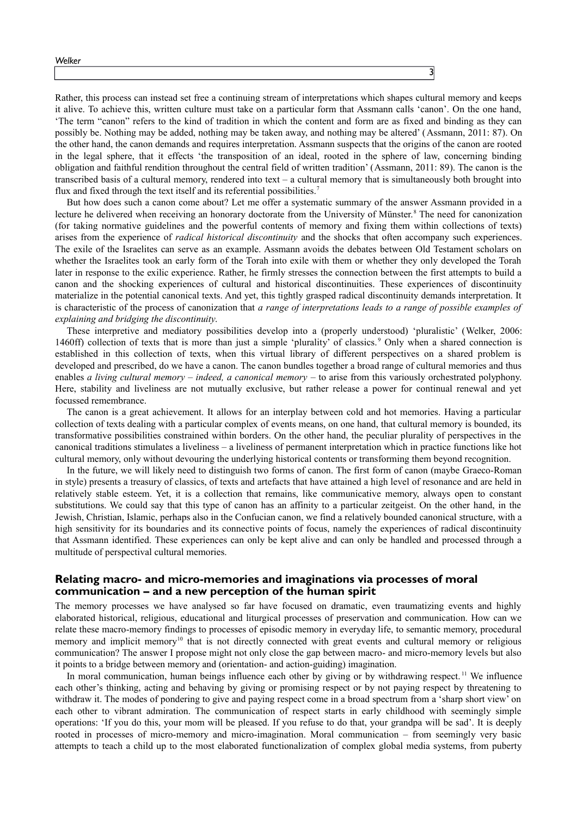Rather, this process can instead set free a continuing stream of interpretations which shapes cultural memory and keeps it alive. To achieve this, written culture must take on a particular form that Assmann calls 'canon'. On the one hand, 'The term "canon" refers to the kind of tradition in which the content and form are as fixed and binding as they can possibly be. Nothing may be added, nothing may be taken away, and nothing may be altered' (Assmann, 2011: 87). On the other hand, the canon demands and requires interpretation. Assmann suspects that the origins of the canon are rooted in the legal sphere, that it effects 'the transposition of an ideal, rooted in the sphere of law, concerning binding obligation and faithful rendition throughout the central field of written tradition' (Assmann, 2011: 89). The canon is the transcribed basis of a cultural memory, rendered into text – a cultural memory that is simultaneously both brought into flux and fixed through the text itself and its referential possibilities.<sup>7</sup>

3

But how does such a canon come about? Let me offer a systematic summary of the answer Assmann provided in a lecture he delivered when receiving an honorary doctorate from the University of Münster.<sup>8</sup> The need for canonization (for taking normative guidelines and the powerful contents of memory and fixing them within collections of texts) arises from the experience of *radical historical discontinuity* and the shocks that often accompany such experiences. The exile of the Israelites can serve as an example. Assmann avoids the debates between Old Testament scholars on whether the Israelites took an early form of the Torah into exile with them or whether they only developed the Torah later in response to the exilic experience. Rather, he firmly stresses the connection between the first attempts to build a canon and the shocking experiences of cultural and historical discontinuities. These experiences of discontinuity materialize in the potential canonical texts. And yet, this tightly grasped radical discontinuity demands interpretation. It is characteristic of the process of canonization that *a range of interpretations leads to a range of possible examples of explaining and bridging the discontinuity*.

These interpretive and mediatory possibilities develop into a (properly understood) 'pluralistic' (Welker, 2006: 1460ff) collection of texts that is more than just a simple 'plurality' of classics.<sup>9</sup> Only when a shared connection is established in this collection of texts, when this virtual library of different perspectives on a shared problem is developed and prescribed, do we have a canon. The canon bundles together a broad range of cultural memories and thus enables *a living cultural memory – indeed, a canonical memory* – to arise from this variously orchestrated polyphony. Here, stability and liveliness are not mutually exclusive, but rather release a power for continual renewal and yet focussed remembrance.

The canon is a great achievement. It allows for an interplay between cold and hot memories. Having a particular collection of texts dealing with a particular complex of events means, on one hand, that cultural memory is bounded, its transformative possibilities constrained within borders. On the other hand, the peculiar plurality of perspectives in the canonical traditions stimulates a liveliness – a liveliness of permanent interpretation which in practice functions like hot cultural memory, only without devouring the underlying historical contents or transforming them beyond recognition.

In the future, we will likely need to distinguish two forms of canon. The first form of canon (maybe Graeco-Roman in style) presents a treasury of classics, of texts and artefacts that have attained a high level of resonance and are held in relatively stable esteem. Yet, it is a collection that remains, like communicative memory, always open to constant substitutions. We could say that this type of canon has an affinity to a particular zeitgeist. On the other hand, in the Jewish, Christian, Islamic, perhaps also in the Confucian canon, we find a relatively bounded canonical structure, with a high sensitivity for its boundaries and its connective points of focus, namely the experiences of radical discontinuity that Assmann identified. These experiences can only be kept alive and can only be handled and processed through a multitude of perspectival cultural memories.

## **Relating macro- and micro-memories and imaginations via processes of moral communication – and a new perception of the human spirit**

The memory processes we have analysed so far have focused on dramatic, even traumatizing events and highly elaborated historical, religious, educational and liturgical processes of preservation and communication. How can we relate these macro-memory findings to processes of episodic memory in everyday life, to semantic memory, procedural memory and implicit memory<sup>10</sup> that is not directly connected with great events and cultural memory or religious communication? The answer I propose might not only close the gap between macro- and micro-memory levels but also it points to a bridge between memory and (orientation- and action-guiding) imagination.

In moral communication, human beings influence each other by giving or by withdrawing respect.<sup>11</sup> We influence each other's thinking, acting and behaving by giving or promising respect or by not paying respect by threatening to withdraw it. The modes of pondering to give and paying respect come in a broad spectrum from a 'sharp short view' on each other to vibrant admiration. The communication of respect starts in early childhood with seemingly simple operations: 'If you do this, your mom will be pleased. If you refuse to do that, your grandpa will be sad'. It is deeply rooted in processes of micro-memory and micro-imagination. Moral communication – from seemingly very basic attempts to teach a child up to the most elaborated functionalization of complex global media systems, from puberty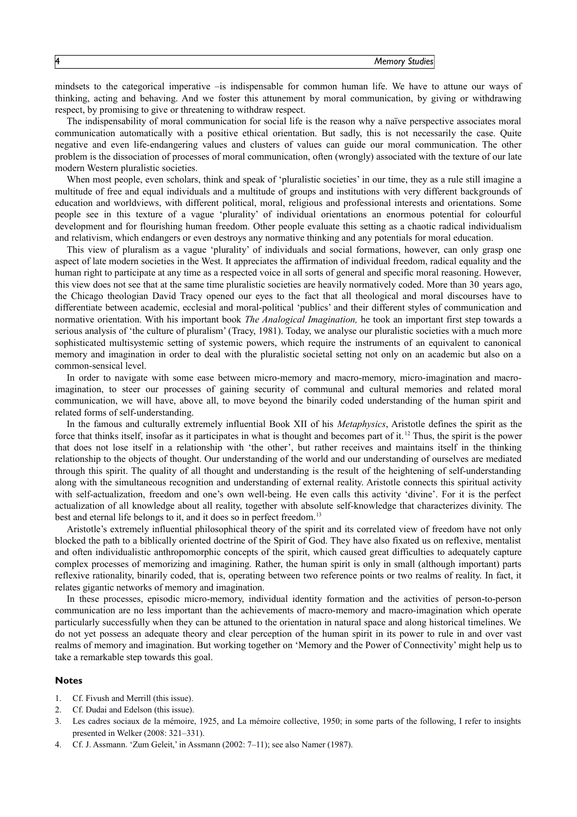mindsets to the categorical imperative –is indispensable for common human life. We have to attune our ways of thinking, acting and behaving. And we foster this attunement by moral communication, by giving or withdrawing respect, by promising to give or threatening to withdraw respect.

The indispensability of moral communication for social life is the reason why a naïve perspective associates moral communication automatically with a positive ethical orientation. But sadly, this is not necessarily the case. Quite negative and even life-endangering values and clusters of values can guide our moral communication. The other problem is the dissociation of processes of moral communication, often (wrongly) associated with the texture of our late modern Western pluralistic societies.

When most people, even scholars, think and speak of 'pluralistic societies' in our time, they as a rule still imagine a multitude of free and equal individuals and a multitude of groups and institutions with very different backgrounds of education and worldviews, with different political, moral, religious and professional interests and orientations. Some people see in this texture of a vague 'plurality' of individual orientations an enormous potential for colourful development and for flourishing human freedom. Other people evaluate this setting as a chaotic radical individualism and relativism, which endangers or even destroys any normative thinking and any potentials for moral education.

This view of pluralism as a vague 'plurality' of individuals and social formations, however, can only grasp one aspect of late modern societies in the West. It appreciates the affirmation of individual freedom, radical equality and the human right to participate at any time as a respected voice in all sorts of general and specific moral reasoning. However, this view does not see that at the same time pluralistic societies are heavily normatively coded. More than 30 years ago, the Chicago theologian David Tracy opened our eyes to the fact that all theological and moral discourses have to differentiate between academic, ecclesial and moral-political 'publics' and their different styles of communication and normative orientation. With his important book *The Analogical Imagination,* he took an important first step towards a serious analysis of 'the culture of pluralism' (Tracy, 1981). Today, we analyse our pluralistic societies with a much more sophisticated multisystemic setting of systemic powers, which require the instruments of an equivalent to canonical memory and imagination in order to deal with the pluralistic societal setting not only on an academic but also on a common-sensical level.

In order to navigate with some ease between micro-memory and macro-memory, micro-imagination and macroimagination, to steer our processes of gaining security of communal and cultural memories and related moral communication, we will have, above all, to move beyond the binarily coded understanding of the human spirit and related forms of self-understanding.

In the famous and culturally extremely influential Book XII of his *Metaphysics*, Aristotle defines the spirit as the force that thinks itself, insofar as it participates in what is thought and becomes part of it. <sup>12</sup> Thus, the spirit is the power that does not lose itself in a relationship with 'the other', but rather receives and maintains itself in the thinking relationship to the objects of thought. Our understanding of the world and our understanding of ourselves are mediated through this spirit. The quality of all thought and understanding is the result of the heightening of self-understanding along with the simultaneous recognition and understanding of external reality. Aristotle connects this spiritual activity with self-actualization, freedom and one's own well-being. He even calls this activity 'divine'. For it is the perfect actualization of all knowledge about all reality, together with absolute self-knowledge that characterizes divinity. The best and eternal life belongs to it, and it does so in perfect freedom.<sup>13</sup>

Aristotle's extremely influential philosophical theory of the spirit and its correlated view of freedom have not only blocked the path to a biblically oriented doctrine of the Spirit of God. They have also fixated us on reflexive, mentalist and often individualistic anthropomorphic concepts of the spirit, which caused great difficulties to adequately capture complex processes of memorizing and imagining. Rather, the human spirit is only in small (although important) parts reflexive rationality, binarily coded, that is, operating between two reference points or two realms of reality. In fact, it relates gigantic networks of memory and imagination.

In these processes, episodic micro-memory, individual identity formation and the activities of person-to-person communication are no less important than the achievements of macro-memory and macro-imagination which operate particularly successfully when they can be attuned to the orientation in natural space and along historical timelines. We do not yet possess an adequate theory and clear perception of the human spirit in its power to rule in and over vast realms of memory and imagination. But working together on 'Memory and the Power of Connectivity' might help us to take a remarkable step towards this goal.

#### **Notes**

- 1. Cf. Fivush and Merrill (this issue).
- 2. Cf. Dudai and Edelson (this issue).
- 3. Les cadres sociaux de la mémoire, 1925, and La mémoire collective, 1950; in some parts of the following, I refer to insights presented in Welker (2008: 321–331).
- 4. Cf. J. Assmann. 'Zum Geleit,' in Assmann (2002: 7–11); see also Namer (1987).